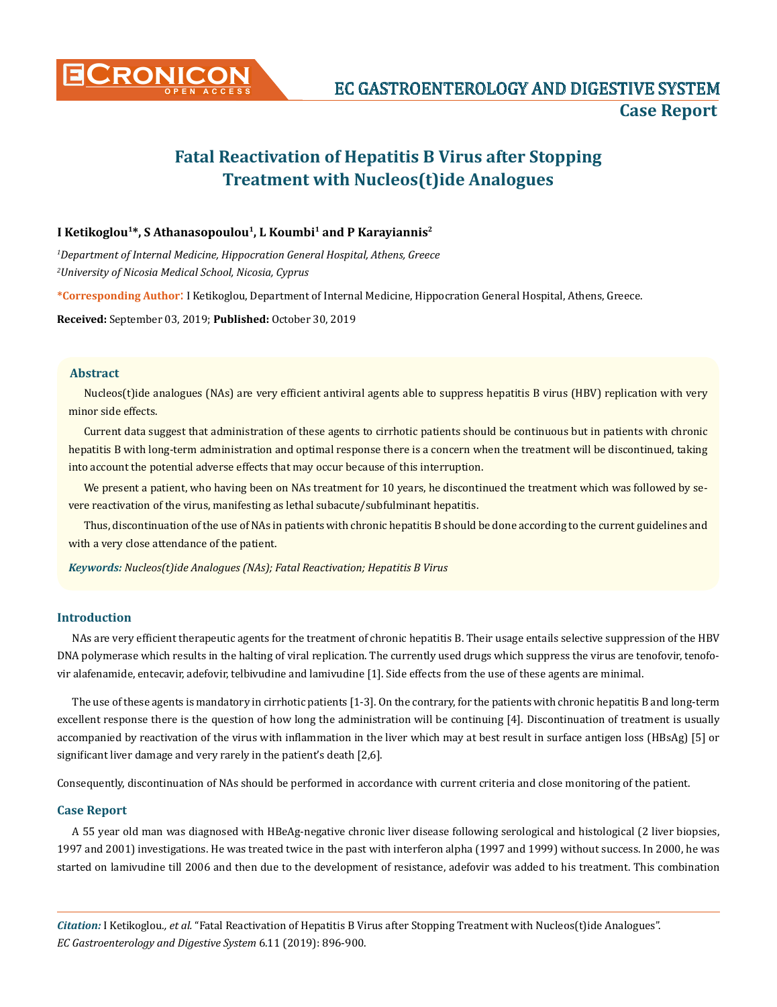

# **Fatal Reactivation of Hepatitis B Virus after Stopping Treatment with Nucleos(t)ide Analogues**

# I Ketikoglou<sup>1\*</sup>, S Athanasopoulou<sup>1</sup>, L Koumbi<sup>1</sup> and P Karayiannis<sup>2</sup>

*1 Department of Internal Medicine, Hippocration General Hospital, Athens, Greece 2 University of Nicosia Medical School, Nicosia, Cyprus*

**\*Corresponding Author**: I Ketikoglou, Department of Internal Medicine, Hippocration General Hospital, Athens, Greece.

**Received:** September 03, 2019; **Published:** October 30, 2019

## **Abstract**

Nucleos(t)ide analogues (NAs) are very efficient antiviral agents able to suppress hepatitis B virus (HBV) replication with very minor side effects.

Current data suggest that administration of these agents to cirrhotic patients should be continuous but in patients with chronic hepatitis B with long-term administration and optimal response there is a concern when the treatment will be discontinued, taking into account the potential adverse effects that may occur because of this interruption.

We present a patient, who having been on NAs treatment for 10 years, he discontinued the treatment which was followed by severe reactivation of the virus, manifesting as lethal subacute/subfulminant hepatitis.

Thus, discontinuation of the use of NAs in patients with chronic hepatitis B should be done according to the current guidelines and with a very close attendance of the patient.

*Keywords: Nucleos(t)ide Analogues (NAs); Fatal Reactivation; Hepatitis B Virus*

#### **Introduction**

NAs are very efficient therapeutic agents for the treatment of chronic hepatitis B. Their usage entails selective suppression of the HBV DNA polymerase which results in the halting of viral replication. The currently used drugs which suppress the virus are tenofovir, tenofovir alafenamide, entecavir, adefovir, telbivudine and lamivudine [1]. Side effects from the use of these agents are minimal.

The use of these agents is mandatory in cirrhotic patients [1-3]. On the contrary, for the patients with chronic hepatitis B and long-term excellent response there is the question of how long the administration will be continuing [4]. Discontinuation of treatment is usually accompanied by reactivation of the virus with inflammation in the liver which may at best result in surface antigen loss (HBsAg) [5] or significant liver damage and very rarely in the patient's death [2,6].

Consequently, discontinuation of NAs should be performed in accordance with current criteria and close monitoring of the patient.

### **Case Report**

A 55 year old man was diagnosed with HBeAg-negative chronic liver disease following serological and histological (2 liver biopsies, 1997 and 2001) investigations. He was treated twice in the past with interferon alpha (1997 and 1999) without success. In 2000, he was started on lamivudine till 2006 and then due to the development of resistance, adefovir was added to his treatment. This combination

*Citation:* I Ketikoglou*., et al.* "Fatal Reactivation of Hepatitis B Virus after Stopping Treatment with Nucleos(t)ide Analogues". *EC Gastroenterology and Digestive System* 6.11 (2019): 896-900.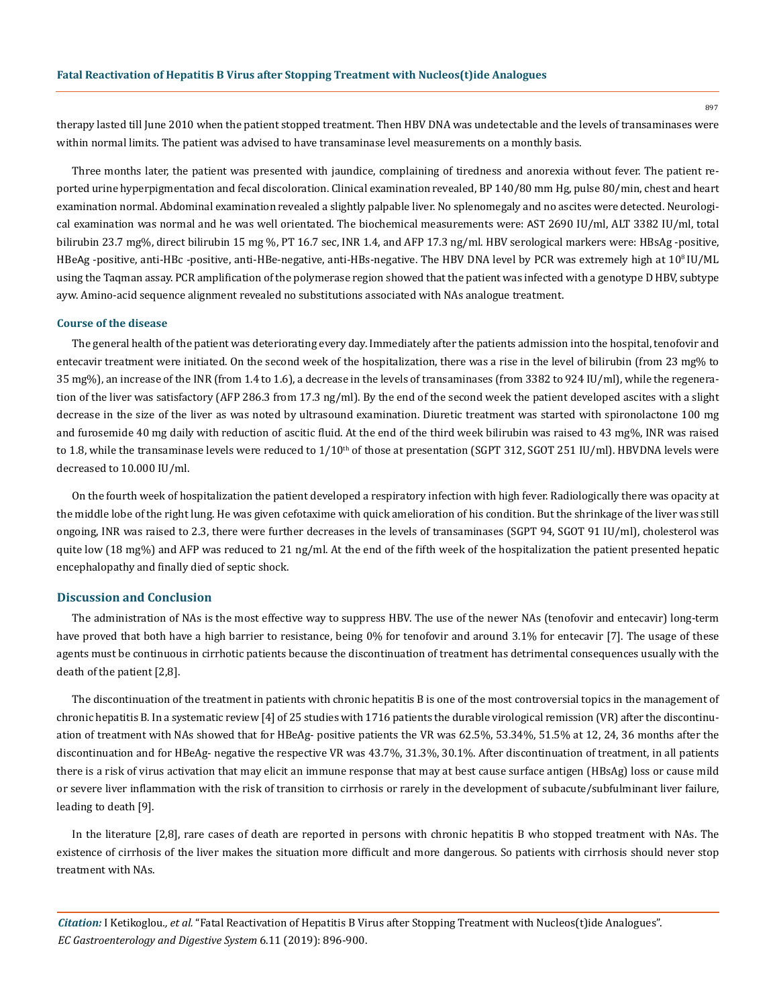therapy lasted till June 2010 when the patient stopped treatment. Then HBV DNA was undetectable and the levels of transaminases were within normal limits. The patient was advised to have transaminase level measurements on a monthly basis.

Three months later, the patient was presented with jaundice, complaining of tiredness and anorexia without fever. The patient reported urine hyperpigmentation and fecal discoloration. Clinical examination revealed, BP 140/80 mm Hg, pulse 80/min, chest and heart examination normal. Abdominal examination revealed a slightly palpable liver. No splenomegaly and no ascites were detected. Neurological examination was normal and he was well orientated. The biochemical measurements were: ΑSΤ 2690 IU/ml, ALT 3382 IU/ml, total bilirubin 23.7 mg%, direct bilirubin 15 mg %, PT 16.7 sec, INR 1.4, and AFP 17.3 ng/ml. HBV serological markers were: HBsAg -positive, HBeAg -positive, anti-HBc -positive, anti-HBe-negative, anti-HBs-negative. The HBV DNA level by PCR was extremely high at 10<sup>8</sup> IU/ML using the Taqman assay. PCR amplification of the polymerase region showed that the patient was infected with a genotype D HBV, subtype ayw. Amino-acid sequence alignment revealed no substitutions associated with NAs analogue treatment.

#### **Course of the disease**

The general health of the patient was deteriorating every day. Immediately after the patients admission into the hospital, tenofovir and entecavir treatment were initiated. On the second week of the hospitalization, there was a rise in the level of bilirubin (from 23 mg% to 35 mg%), an increase of the INR (from 1.4 to 1.6), a decrease in the levels of transaminases (from 3382 to 924 IU/ml), while the regeneration of the liver was satisfactory (AFP 286.3 from 17.3 ng/ml). By the end of the second week the patient developed ascites with a slight decrease in the size of the liver as was noted by ultrasound examination. Diuretic treatment was started with spironolactone 100 mg and furosemide 40 mg daily with reduction of ascitic fluid. At the end of the third week bilirubin was raised to 43 mg%, INR was raised to 1.8, while the transaminase levels were reduced to  $1/10<sup>th</sup>$  of those at presentation (SGPT 312, SGOT 251 IU/ml). HBVDNA levels were decreased to 10.000 IU/ml.

On the fourth week of hospitalization the patient developed a respiratory infection with high fever. Radiologically there was opacity at the middle lobe of the right lung. He was given cefotaxime with quick amelioration of his condition. But the shrinkage of the liver was still ongoing, INR was raised to 2.3, there were further decreases in the levels of transaminases (SGPT 94, SGOT 91 IU/ml), cholesterol was quite low (18 mg%) and AFP was reduced to 21 ng/ml. At the end of the fifth week of the hospitalization the patient presented hepatic encephalopathy and finally died of septic shock.

#### **Discussion and Conclusion**

The administration of NAs is the most effective way to suppress HBV. The use of the newer NAs (tenofovir and entecavir) long-term have proved that both have a high barrier to resistance, being 0% for tenofovir and around 3.1% for entecavir [7]. The usage of these agents must be continuous in cirrhotic patients because the discontinuation of treatment has detrimental consequences usually with the death of the patient [2,8].

The discontinuation of the treatment in patients with chronic hepatitis B is one of the most controversial topics in the management of chronic hepatitis B. In a systematic review [4] of 25 studies with 1716 patients the durable virological remission (VR) after the discontinuation of treatment with NAs showed that for HBeAg- positive patients the VR was 62.5%, 53.34%, 51.5% at 12, 24, 36 months after the discontinuation and for HBeAg- negative the respective VR was 43.7%, 31.3%, 30.1%. After discontinuation of treatment, in all patients there is a risk of virus activation that may elicit an immune response that may at best cause surface antigen (HBsAg) loss or cause mild or severe liver inflammation with the risk of transition to cirrhosis or rarely in the development of subacute/subfulminant liver failure, leading to death [9].

In the literature [2,8], rare cases of death are reported in persons with chronic hepatitis B who stopped treatment with NAs. The existence of cirrhosis of the liver makes the situation more difficult and more dangerous. So patients with cirrhosis should never stop treatment with NAs.

*Citation:* I Ketikoglou*., et al.* "Fatal Reactivation of Hepatitis B Virus after Stopping Treatment with Nucleos(t)ide Analogues". *EC Gastroenterology and Digestive System* 6.11 (2019): 896-900.

897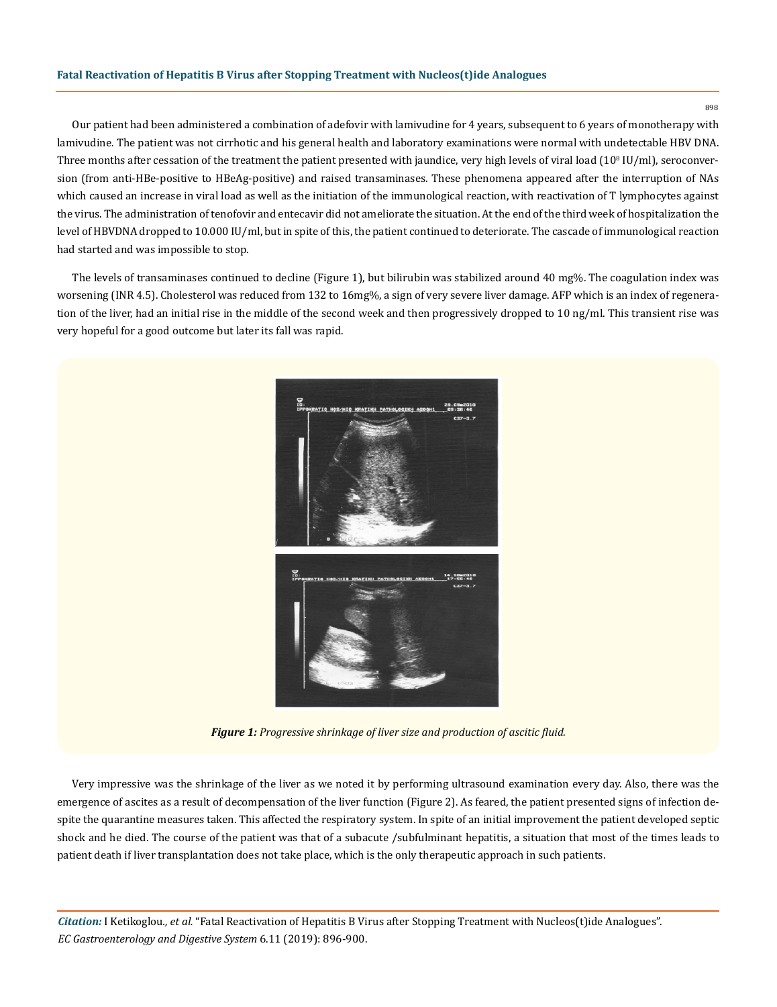## **Fatal Reactivation of Hepatitis B Virus after Stopping Treatment with Nucleos(t)ide Analogues**

898

Our patient had been administered a combination of adefovir with lamivudine for 4 years, subsequent to 6 years of monotherapy with lamivudine. The patient was not cirrhotic and his general health and laboratory examinations were normal with undetectable HBV DNA. Three months after cessation of the treatment the patient presented with jaundice, very high levels of viral load  $(10^{\rm s}$  IU/ml), seroconversion (from anti-HBe-positive to HBeAg-positive) and raised transaminases. These phenomena appeared after the interruption of NAs which caused an increase in viral load as well as the initiation of the immunological reaction, with reactivation of T lymphocytes against the virus. The administration of tenofovir and entecavir did not ameliorate the situation. At the end of the third week of hospitalization the level of HBVDNA dropped to 10.000 IU/ml, but in spite of this, the patient continued to deteriorate. The cascade of immunological reaction had started and was impossible to stop.

The levels of transaminases continued to decline (Figure 1), but bilirubin was stabilized around 40 mg%. The coagulation index was worsening (INR 4.5). Cholesterol was reduced from 132 to 16mg%, a sign of very severe liver damage. AFP which is an index of regeneration of the liver, had an initial rise in the middle of the second week and then progressively dropped to 10 ng/ml. This transient rise was very hopeful for a good outcome but later its fall was rapid.



*Figure 1: Progressive shrinkage of liver size and production of ascitic fluid.*

Very impressive was the shrinkage of the liver as we noted it by performing ultrasound examination every day. Also, there was the emergence of ascites as a result of decompensation of the liver function (Figure 2). As feared, the patient presented signs of infection despite the quarantine measures taken. This affected the respiratory system. In spite of an initial improvement the patient developed septic shock and he died. The course of the patient was that of a subacute /subfulminant hepatitis, a situation that most of the times leads to patient death if liver transplantation does not take place, which is the only therapeutic approach in such patients.

*Citation:* I Ketikoglou*., et al.* "Fatal Reactivation of Hepatitis B Virus after Stopping Treatment with Nucleos(t)ide Analogues". *EC Gastroenterology and Digestive System* 6.11 (2019): 896-900.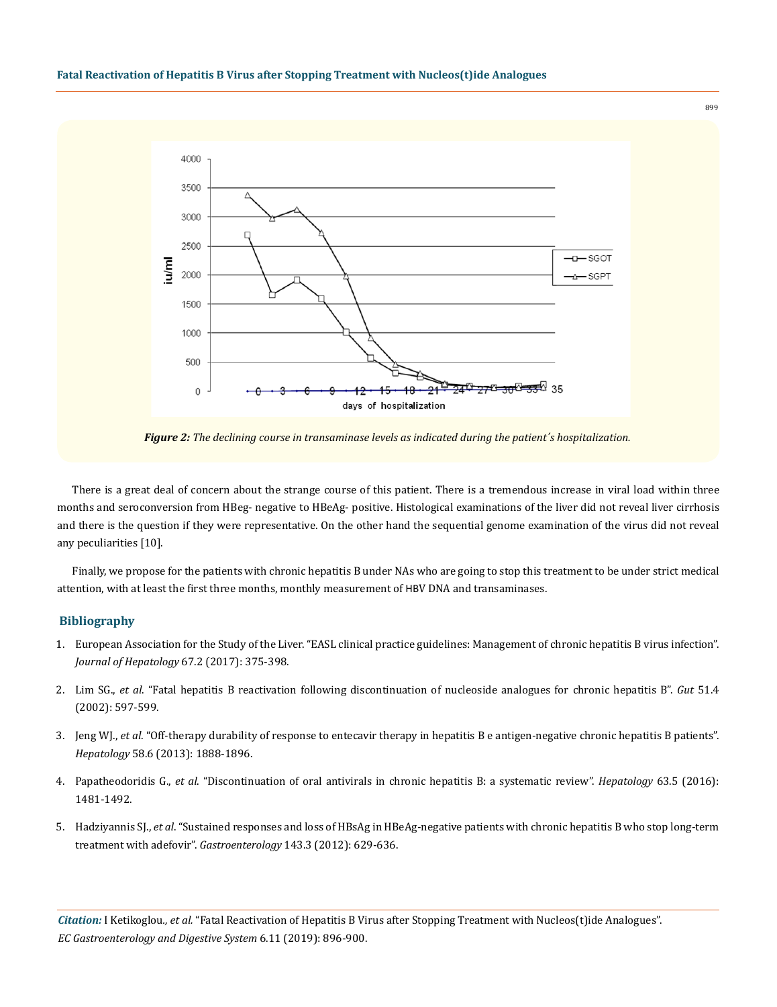

*Figure 2: The declining course in transaminase levels as indicated during the patient΄s hospitalization.*

There is a great deal of concern about the strange course of this patient. There is a tremendous increase in viral load within three months and seroconversion from HBeg- negative to HBeAg- positive. Histological examinations of the liver did not reveal liver cirrhosis and there is the question if they were representative. On the other hand the sequential genome examination of the virus did not reveal any peculiarities [10].

Finally, we propose for the patients with chronic hepatitis B under NAs who are going to stop this treatment to be under strict medical attention, with at least the first three months, monthly measurement of ΗΒV DNA and transaminases.

# **Bibliography**

- 1. [European Association for the Study of the Liver. "EASL clinical practice guidelines: Management of chronic hepatitis B virus infection".](https://www.ncbi.nlm.nih.gov/pubmed/28427875)  *[Journal of Hepatology](https://www.ncbi.nlm.nih.gov/pubmed/28427875)* 67.2 (2017): 375-398.
- 2. Lim SG., *et al*[. "Fatal hepatitis B reactivation following discontinuation of nucleoside analogues for chronic hepatitis B".](https://www.ncbi.nlm.nih.gov/pubmed/12235087) *Gut* 51.4 [\(2002\): 597-599.](https://www.ncbi.nlm.nih.gov/pubmed/12235087)
- 3. Jeng WJ., *et al*[. "Off-therapy durability of response to entecavir therapy in hepatitis B e antigen-negative chronic hepatitis B patients".](https://www.ncbi.nlm.nih.gov/pubmed/23744454)  *Hepatology* [58.6 \(2013\): 1888-1896.](https://www.ncbi.nlm.nih.gov/pubmed/23744454)
- 4. Papatheodoridis G., *et al*[. "Discontinuation of oral antivirals in chronic hepatitis B: a systematic review".](https://www.ncbi.nlm.nih.gov/pubmed/27100145) *Hepatology* 63.5 (2016): [1481-1492.](https://www.ncbi.nlm.nih.gov/pubmed/27100145)
- 5. Hadziyannis SJ., *et al*[. "Sustained responses and loss of HBsAg in HBeAg-negative patients with chronic hepatitis B who stop long-term](https://www.ncbi.nlm.nih.gov/pubmed/22659218) [treatment with adefovir".](https://www.ncbi.nlm.nih.gov/pubmed/22659218) *Gastroenterology* 143.3 (2012): 629-636.

*Citation:* I Ketikoglou*., et al.* "Fatal Reactivation of Hepatitis B Virus after Stopping Treatment with Nucleos(t)ide Analogues". *EC Gastroenterology and Digestive System* 6.11 (2019): 896-900.